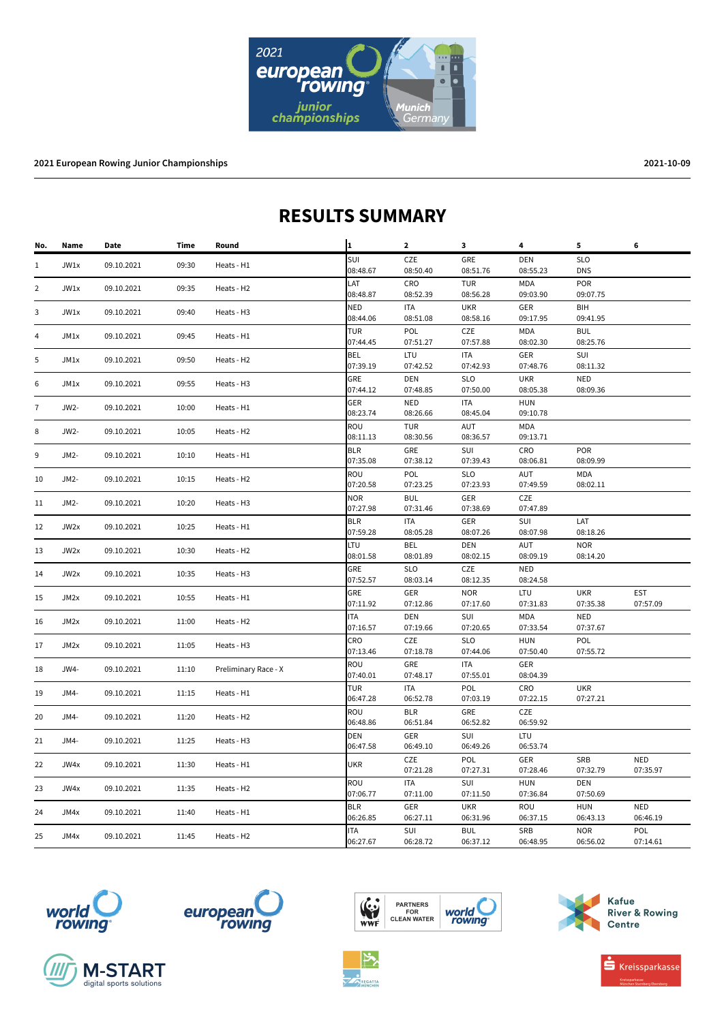

## **RESULTS SUMMARY**

| No.            | Name   | Date       | Time  | Round                | $\mathbf{1}$           | $\mathbf{2}$    | 3                      | 4                      | 5                      | 6          |
|----------------|--------|------------|-------|----------------------|------------------------|-----------------|------------------------|------------------------|------------------------|------------|
| 1              | JW1x   | 09.10.2021 | 09:30 | Heats - H1           | SUI                    | CZE             | GRE                    | DEN                    | <b>SLO</b>             |            |
|                |        |            |       |                      | 08:48.67               | 08:50.40        | 08:51.76               | 08:55.23               | <b>DNS</b>             |            |
| $\overline{2}$ | JW1x   | 09.10.2021 | 09:35 | Heats - H2           | LAT                    | CRO             | <b>TUR</b>             | <b>MDA</b>             | POR                    |            |
|                |        |            |       | 08:48.87             | 08:52.39               | 08:56.28        | 09:03.90               | 09:07.75               |                        |            |
| 3              | JW1x   | 09.10.2021 | 09:40 | Heats - H3           | NED                    | <b>ITA</b>      | <b>UKR</b>             | GER                    | BIH                    |            |
|                |        |            |       |                      | 08:44.06               | 08:51.08        | 08:58.16               | 09:17.95               | 09:41.95               |            |
| $\overline{4}$ | JM1x   | 09.10.2021 | 09:45 | Heats - H1           | <b>TUR</b><br>07:44.45 | POL<br>07:51.27 | CZE<br>07:57.88        | MDA<br>08:02.30        | <b>BUL</b><br>08:25.76 |            |
|                |        |            |       |                      | <b>BEL</b>             | <b>LTU</b>      | <b>ITA</b>             | GER                    | SUI                    |            |
| 5              | JM1x   | 09.10.2021 | 09:50 | Heats - H2           | 07:39.19               | 07:42.52        | 07:42.93               | 07:48.76               | 08:11.32               |            |
|                | JM1x   | 09.10.2021 | 09:55 | Heats - H3           | GRE                    | <b>DEN</b>      | <b>SLO</b>             | <b>UKR</b>             | <b>NED</b>             |            |
| 6              |        |            |       |                      | 07:44.12               | 07:48.85        | 07:50.00               | 08:05.38               | 08:09.36               |            |
| $\overline{7}$ | JW2-   | 09.10.2021 | 10:00 | Heats - H1           | GER                    | <b>NED</b>      | <b>ITA</b>             | <b>HUN</b>             |                        |            |
|                |        |            |       |                      | 08:23.74               | 08:26.66        | 08:45.04               | 09:10.78               |                        |            |
|                |        |            |       | Heats - H2           | ROU                    | <b>TUR</b>      | AUT                    | <b>MDA</b>             |                        |            |
| 8              | $JW2-$ | 09.10.2021 | 10:05 |                      | 08:11.13               | 08:30.56        | 08:36.57               | 09:13.71               |                        |            |
| 9              |        | 09.10.2021 | 10:10 | Heats - H1           | <b>BLR</b>             | GRE             | SUI                    | CRO                    | POR                    |            |
|                | JM2-   |            |       |                      | 07:35.08               | 07:38.12        | 07:39.43               | 08:06.81               | 08:09.99               |            |
| 10             | JM2-   | 09.10.2021 | 10:15 | Heats - H2           | ROU                    | POL             | <b>SLO</b>             | AUT                    | MDA                    |            |
|                |        |            |       |                      | 07:20.58               | 07:23.25        | 07:23.93               | 07:49.59               | 08:02.11               |            |
| 11             | JM2-   | 09.10.2021 | 10:20 | Heats - H3           | <b>NOR</b>             | <b>BUL</b>      | GER                    | CZE                    |                        |            |
|                |        |            |       |                      | 07:27.98               | 07:31.46        | 07:38.69               | 07:47.89               |                        |            |
| 12             | JW2x   | 09.10.2021 | 10:25 | Heats - H1           | <b>BLR</b>             | <b>ITA</b>      | GER                    | SUI                    | LAT                    |            |
|                |        |            |       |                      | 07:59.28               | 08:05.28        | 08:07.26               | 08:07.98               | 08:18.26               |            |
| 13             | JW2x   | 09.10.2021 | 10:30 | Heats - H2           | LTU                    | <b>BEL</b>      | <b>DEN</b>             | <b>AUT</b>             | <b>NOR</b>             |            |
|                |        |            |       |                      | 08:01.58               | 08:01.89        | 08:02.15               | 08:09.19               | 08:14.20               |            |
| 14             | JW2x   | 09.10.2021 | 10:35 | Heats - H3           | GRE                    | <b>SLO</b>      | CZE                    | <b>NED</b>             |                        |            |
|                |        |            |       |                      | 07:52.57               | 08:03.14        | 08:12.35               | 08:24.58               |                        |            |
| 15             | JM2x   | 09.10.2021 | 10:55 | Heats - H1           | GRE                    | <b>GER</b>      | <b>NOR</b>             | <b>LTU</b>             | <b>UKR</b>             | <b>EST</b> |
|                |        |            |       |                      | 07:11.92               | 07:12.86        | 07:17.60               | 07:31.83               | 07:35.38               | 07:57.09   |
| 16             | JM2x   | 09.10.2021 | 11:00 | Heats - H2           | ITA                    | <b>DEN</b>      | SUI<br>07:20.65        | <b>MDA</b><br>07:33.54 | <b>NED</b><br>07:37.67 |            |
|                |        |            |       |                      | 07:16.57               | 07:19.66        |                        |                        |                        |            |
| 17             | JM2x   | 09.10.2021 | 11:05 | Heats - H3           | CRO<br>07:13.46        | CZE<br>07:18.78 | <b>SLO</b><br>07:44.06 | <b>HUN</b><br>07:50.40 | POL<br>07:55.72        |            |
|                |        |            |       |                      | ROU                    | GRE             | <b>ITA</b>             | GER                    |                        |            |
| 18             | JW4-   | 09.10.2021 | 11:10 | Preliminary Race - X | 07:40.01               | 07:48.17        | 07:55.01               | 08:04.39               |                        |            |
| 19             | JM4-   | 09.10.2021 | 11:15 | Heats - H1           | <b>TUR</b>             | <b>ITA</b>      | POL                    | CRO                    | <b>UKR</b>             |            |
|                |        |            |       |                      | 06:47.28               | 06:52.78        | 07:03.19               | 07:22.15               | 07:27.21               |            |
| 20             | JM4-   | 09.10.2021 | 11:20 | Heats - H2           | ROU                    | <b>BLR</b>      | GRE                    | CZE                    |                        |            |
|                |        |            |       |                      | 06:48.86               | 06:51.84        | 06:52.82               | 06:59.92               |                        |            |
| 21             | JM4-   | 09.10.2021 | 11:25 | Heats - H3           | DEN                    | GER             | SUI                    | LTU                    |                        |            |
|                |        |            |       |                      | 06:47.58               | 06:49.10        | 06:49.26               | 06:53.74               |                        |            |
| 22             | JW4x   | 09.10.2021 | 11:30 | Heats - H1           | <b>UKR</b>             | CZE             | POL                    | GER                    | SRB                    | <b>NED</b> |
|                |        |            |       |                      |                        | 07:21.28        | 07:27.31               | 07:28.46               | 07:32.79               | 07:35.97   |
| 23             | JW4x   | 09.10.2021 | 11:35 | Heats - H2           | ROU                    | <b>ITA</b>      | SUI                    | <b>HUN</b>             | DEN                    |            |
|                |        |            |       |                      | 07:06.77               | 07:11.00        | 07:11.50               | 07:36.84               | 07:50.69               |            |
| 24             | JM4x   | 09.10.2021 | 11:40 | Heats - H1           | <b>BLR</b>             | GER             | <b>UKR</b>             | <b>ROU</b>             | <b>HUN</b>             | <b>NED</b> |
|                |        |            |       |                      | 06:26.85               | 06:27.11        | 06:31.96               | 06:37.15               | 06:43.13               | 06:46.19   |
| 25             | JM4x   | 09.10.2021 | 11:45 | Heats - H2           | <b>ITA</b>             | SUI             | <b>BUL</b>             | <b>SRB</b>             | <b>NOR</b>             | POL        |
|                |        |            |       |                      | 06:27.67               | 06:28.72        | 06:37.12               | 06:48.95               | 06:56.02               | 07:14.61   |